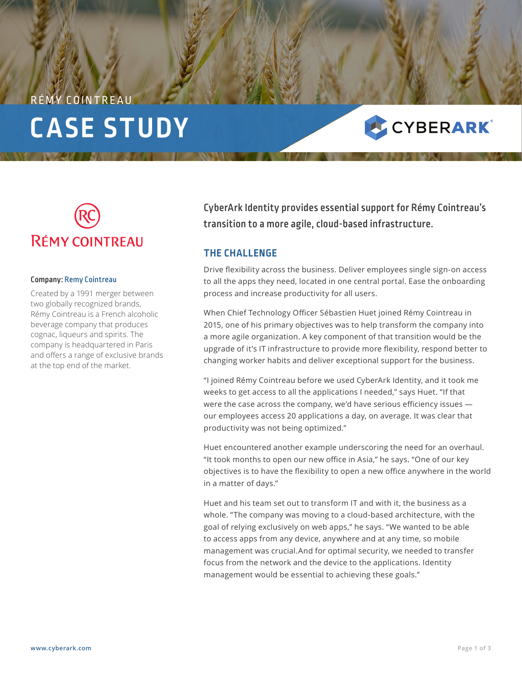# COINTRE **CASE STUDY**





#### Company: Remy Cointreau

Created by a 1991 merger between two globally recognized brands, Rémy Cointreau is a French alcoholic beverage company that produces cognac, liqueurs and spirits. The company is headquartered in Paris and offers a range of exclusive brands at the top end of the market.

CyberArk Identity provides essential support for Rémy Cointreau's transition to a more agile, cloud-based infrastructure.

#### **THE CHALLENGE**

Drive flexibility across the business. Deliver employees single sign-on access to all the apps they need, located in one central portal. Ease the onboarding process and increase productivity for all users.

When Chief Technology Officer Sébastien Huet joined Rémy Cointreau in 2015, one of his primary objectives was to help transform the company into a more agile organization. A key component of that transition would be the upgrade of it's IT infrastructure to provide more flexibility, respond better to changing worker habits and deliver exceptional support for the business.

"I joined Rémy Cointreau before we used CyberArk Identity, and it took me weeks to get access to all the applications I needed," says Huet. "If that were the case across the company, we'd have serious efficiency issues our employees access 20 applications a day, on average. It was clear that productivity was not being optimized."

Huet encountered another example underscoring the need for an overhaul. "It took months to open our new office in Asia," he says. "One of our key objectives is to have the flexibility to open a new office anywhere in the world in a matter of days."

Huet and his team set out to transform IT and with it, the business as a whole. "The company was moving to a cloud-based architecture, with the goal of relying exclusively on web apps," he says. "We wanted to be able to access apps from any device, anywhere and at any time, so mobile management was crucial.And for optimal security, we needed to transfer focus from the network and the device to the applications. Identity management would be essential to achieving these goals."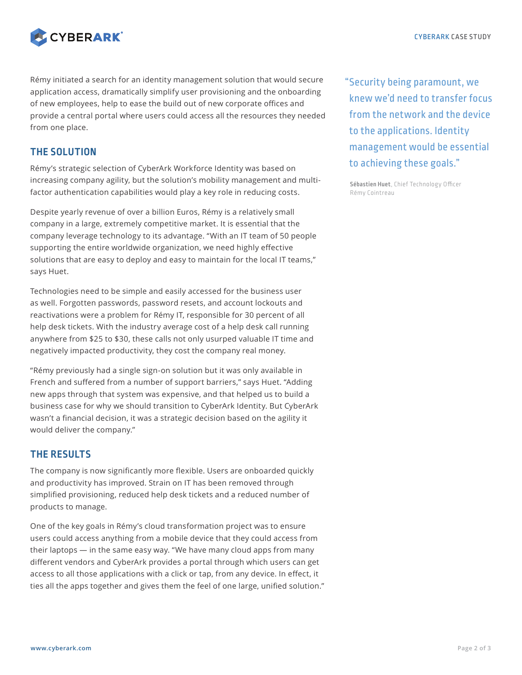

Rémy initiated a search for an identity management solution that would secure application access, dramatically simplify user provisioning and the onboarding of new employees, help to ease the build out of new corporate offices and provide a central portal where users could access all the resources they needed from one place.

### **THE SOLUTION**

Rémy's strategic selection of CyberArk Workforce Identity was based on increasing company agility, but the solution's mobility management and multifactor authentication capabilities would play a key role in reducing costs.

Despite yearly revenue of over a billion Euros, Rémy is a relatively small company in a large, extremely competitive market. It is essential that the company leverage technology to its advantage. "With an IT team of 50 people supporting the entire worldwide organization, we need highly effective solutions that are easy to deploy and easy to maintain for the local IT teams," says Huet.

Technologies need to be simple and easily accessed for the business user as well. Forgotten passwords, password resets, and account lockouts and reactivations were a problem for Rémy IT, responsible for 30 percent of all help desk tickets. With the industry average cost of a help desk call running anywhere from \$25 to \$30, these calls not only usurped valuable IT time and negatively impacted productivity, they cost the company real money.

"Rémy previously had a single sign-on solution but it was only available in French and suffered from a number of support barriers," says Huet. "Adding new apps through that system was expensive, and that helped us to build a business case for why we should transition to CyberArk Identity. But CyberArk wasn't a financial decision, it was a strategic decision based on the agility it would deliver the company."

## **THE RESULTS**

The company is now significantly more flexible. Users are onboarded quickly and productivity has improved. Strain on IT has been removed through simplified provisioning, reduced help desk tickets and a reduced number of products to manage.

One of the key goals in Rémy's cloud transformation project was to ensure users could access anything from a mobile device that they could access from their laptops — in the same easy way. "We have many cloud apps from many different vendors and CyberArk provides a portal through which users can get access to all those applications with a click or tap, from any device. In effect, it ties all the apps together and gives them the feel of one large, unified solution." "Security being paramount, we knew we'd need to transfer focus from the network and the device to the applications. Identity management would be essential to achieving these goals."

**Sébastien Huet**, Chief Technology Officer Rémy Cointreau